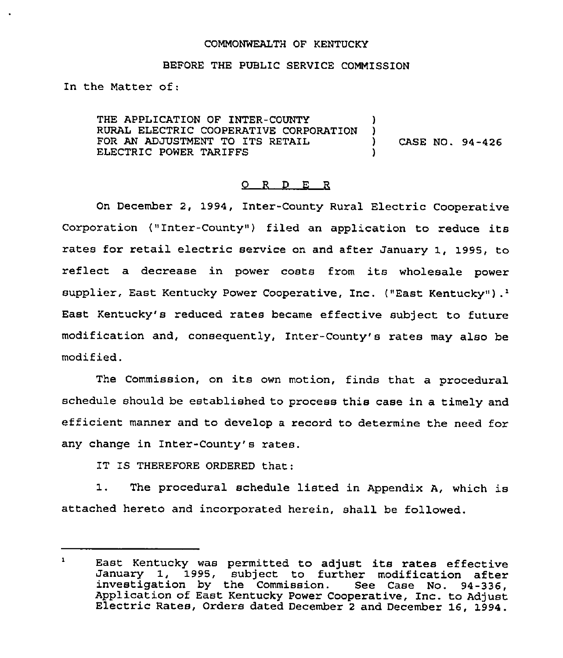### COMMONWEALTH OF KENTUCKY

#### BEFORE THE PUBLIC SERVICE COMMISSION

In the Matter of:

THE APPLICATION OF INTER-COUNTY )<br>RURAL ELECTRIC COOPERATIVE CORPORATION ) RURAL ELECTRIC COOPERATIVE CORPORATION )<br>FOR AN ADJUSTMENT TO ITS RETAIL ) FOR AN ADJUSTMENT TO ITS RETAIL  $(1, 94-426)$ ELECTRIC POWER TARIFFS

### 0 <sup>R</sup> <sup>D</sup> E <sup>R</sup>

On December 2, 1994, Inter-County Rural Electric Cooperative Coxpoxation ("Inter-County" ) filed an application to reduce its rates for retail electric service on and after January 1, 1995, to reflect a decrease in power costs from its wholesale power supplier, East Kentucky Power Cooperative, Inc. ("East Kentucky").<sup>1</sup> East Kentucky's reduced rates became effective subject to future modification and, consequently, Inter-County's rates may also be modified.

The Commission, on its own motion, finds that <sup>a</sup> procedural schedule should be established to process this case in a timely and efficient mannex and to develop <sup>a</sup> record to determine the need fox any change in Inter-County's rates.

IT IS THEREFORE ORDERED that:

1. The procedural schedule listed in Appendix A, which is attached hereto and incorporated herein, shall be followed.

 $\mathbf{1}$ East Kentucky was permitted to adjust its rates effective January 1, 1995, subject to further modification after<br>investigation by the Commission. See Case No. 94-336,<br>Application of East Kentucky Power Cooperative, Inc. to Adjust<br>Electric Rates, Orders dated December 2 and Decemb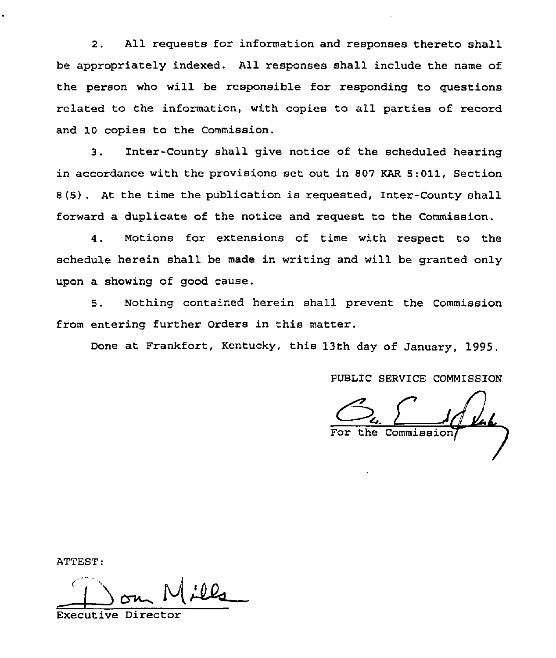2. All requests for information and responses thereto shall be appropriately indexed. All responses shall include the name of the person who will be responsible for responding to questions related to the information, with copies to all parties of record and 10 copies to the Commission.

3. Inter-County shall give notice of the scheduled hearing in accordance with the provisions set out in 807 KAR 5:011, Section 8(5) . At the time the publication is requested, Inter-County shall forward a duplicate of the notice and request to the Commission.

Motions for extensions of time with respect to the  $4.$ schedule herein shall be made in writing and will be granted only upon a showing of good cause.

5. Nothing contained herein shall prevent the Commission from entering further Orders in this matter.

Done at Frankfort, Kentucky, this 13th day of January, 1995.

PUBLIC SERVICE COMMISSION

the Commissi

ATTEST:

Executive Director